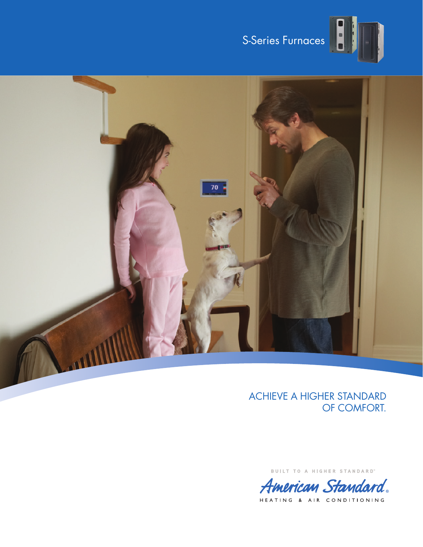



## ACHIEVE A HIGHER STANDARD OF COMFORT.

BUILT TO A HIGHER STANDARD"



HEATING & AIR CONDITIONING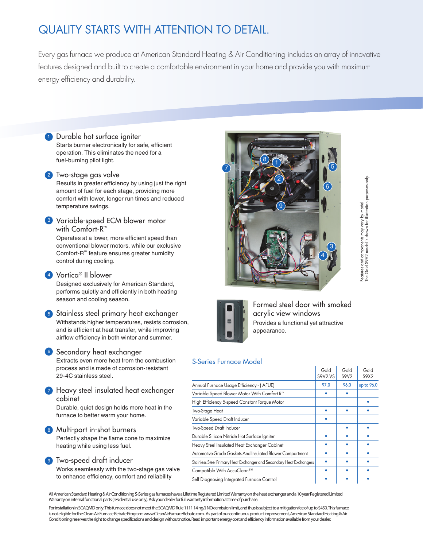# QUALITY STARTS WITH ATTENTION TO DETAIL.

Every gas furnace we produce at American Standard Heating & Air Conditioning includes an array of innovative features designed and built to create a comfortable environment in your home and provide you with maximum energy efficiency and durability.

**1** Durable hot surface igniter Starts burner electronically for safe, efficient operation. This eliminates the need for a fuel-burning pilot light.

#### 2 Two-stage gas valve

Results in greater efficiency by using just the right amount of fuel for each stage, providing more comfort with lower, longer run times and reduced temperature swings.

<sup>3</sup> Variable-speed ECM blower motor with Comfort-R™

Operates at a lower, more efficient speed than conventional blower motors, while our exclusive Comfort-R™ feature ensures greater humidity control during cooling.

#### <sup>4</sup> Vortica® II blower

Designed exclusively for American Standard, performs quietly and efficiently in both heating season and cooling season.

<sup>5</sup> Stainless steel primary heat exchanger Withstands higher temperatures, resists corrosion, and is efficient at heat transfer, while improving airflow efficiency in both winter and summer.

#### **6** Secondary heat exchanger

Extracts even more heat from the combustion process and is made of corrosion-resistant 29-4C stainless steel.

**7** Heavy steel insulated heat exchanger cabinet

Durable, quiet design holds more heat in the furnace to better warm your home.

### 8 Multi-port in-shot burners

Perfectly shape the flame cone to maximize heating while using less fuel.

<sup>9</sup> Two-speed draft inducer

Works seamlessly with the two-stage gas valve to enhance efficiency, comfort and reliability





Formed steel door with smoked acrylic view windows Provides a functional yet attractive appearance.

#### S-Series Furnace Model

|                                                                      | Gold<br>S9V2-VS | Gold<br>S9V2 | Gold<br>S9X2 |
|----------------------------------------------------------------------|-----------------|--------------|--------------|
| Annual Furnace Usage Efficiency - (AFUE)                             | 97.0            | 96.0         | up to 96.0   |
| Variable Speed Blower Motor With Comfort R™                          |                 |              |              |
| High Efficiency 5-speed Constant Torque Motor                        |                 |              |              |
| Two-Stage Heat                                                       |                 |              |              |
| Variable Speed Draft Inducer                                         |                 |              |              |
| Two-Speed Draft Inducer                                              |                 |              |              |
| Durable Silicon Nitride Hot Surface Igniter                          |                 |              |              |
| Heavy Steel Insulated Heat Exchanger Cabinet                         |                 |              |              |
| Automotive-Grade Gaskets And Insulated Blower Compartment            |                 |              |              |
| Stainless Steel Primary Heat Exchanger and Secondary Heat Exchangers |                 |              |              |
| Compatible With AccuClean™                                           |                 |              |              |
| Self Diagnosing Integrated Furnace Control                           |                 |              |              |

All American Standard Heating & Air Conditioning S-Series gas furnaces have a Lifetime Registered Limited Warranty on the heat exchanger and a 10 year Registered Limited Warranty on internal functional parts (residential use only). Ask your dealer for full warranty information at time of purchase.

For installation in SCAQMD only: This furnace does not meet the SCAQMD Rule 1111 14 ng/J NOx emission limit, and thus is subject to a mitigation fee of up to \$450. This furnace is not eligible for the Clean Air Furnace Rebate Program: www.CleanAirFurnaceRebate.com. As part of our continuous product improvement, American Standard Heating & Air Conditioning reserves the right to change specifications and design without notice. Read important energy cost and efficiency information available from your dealer.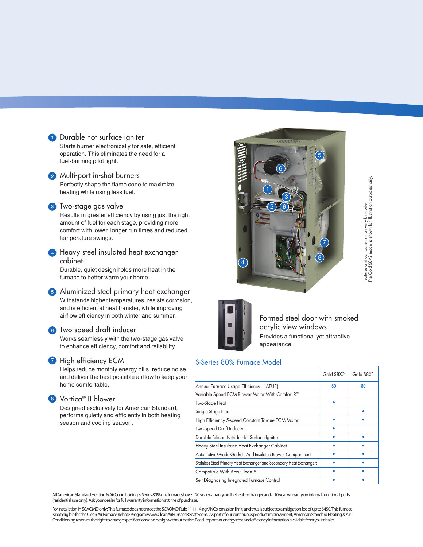

2 Multi-port in-shot burners Perfectly shape the flame cone to maximize heating while using less fuel.

#### <sup>3</sup> Two-stage gas valve

Results in greater efficiency by using just the right amount of fuel for each stage, providing more comfort with lower, longer run times and reduced temperature swings.

**4** Heavy steel insulated heat exchanger cabinet

Durable, quiet design holds more heat in the furnace to better warm your home.

<sup>5</sup> Aluminized steel primary heat exchanger Withstands higher temperatures, resists corrosion, and is efficient at heat transfer, while improving airflow efficiency in both winter and summer.

#### <sup>6</sup> Two-speed draft inducer

Works seamlessly with the two-stage gas valve to enhance efficiency, comfort and reliability

#### **7** High efficiency ECM

Helps reduce monthly energy bills, reduce noise, and deliver the best possible airflow to keep your home comfortable.

#### <sup>8</sup> Vortica® II blower

Designed exclusively for American Standard, performs quietly and efficiently in both heating season and cooling season.



 $\overline{1}$ 



Formed steel door with smoked acrylic view windows Provides a functional yet attractive appearance.

#### S-Series 80% Furnace Model

|                                                                      | Gold S8X2 | Gold S8X1 |
|----------------------------------------------------------------------|-----------|-----------|
| Annual Furnace Usage Efficiency - (AFUE)                             | 80        | 80        |
| Variable Speed ECM Blower Motor With Comfort R™                      |           |           |
| Two-Stage Heat                                                       |           |           |
| Single-Stage Heat                                                    |           |           |
| High Efficiency 5-speed Constant Torque ECM Motor                    |           |           |
| Two-Speed Draft Inducer                                              |           |           |
| Durable Silicon Nitride Hot Surface Igniter                          |           |           |
| Heavy Steel Insulated Heat Exchanger Cabinet                         |           |           |
| Automotive-Grade Gaskets And Insulated Blower Compartment            |           |           |
| Stainless Steel Primary Heat Exchanger and Secondary Heat Exchangers |           |           |
| Compatible With AccuClean™                                           |           |           |
| Self Diagnosing Integrated Furnace Control                           |           |           |

All American Standard Heating & Air Conditioning S-Series 80% gas furnaces have a 20 year warranty on the heat exchanger and a 10 year warranty on internal functional parts (residential use only). Ask your dealer for full warranty information at time of purchase.

For installation in SCAQMD only: This furnace does not meet the SCAQMD Rule 1111 14 ng/J NOx emission limit, and thus is subject to a mitigation fee of up to \$450. This furnace is not eligible for the Clean Air Furnace Rebate Program: www.CleanAirFurnaceRebate.com. As part of our continuous product improvement, American Standard Heating & Air Conditioning reserves the right to change specifications and design without notice. Read important energy cost and efficiency information available from your dealer.